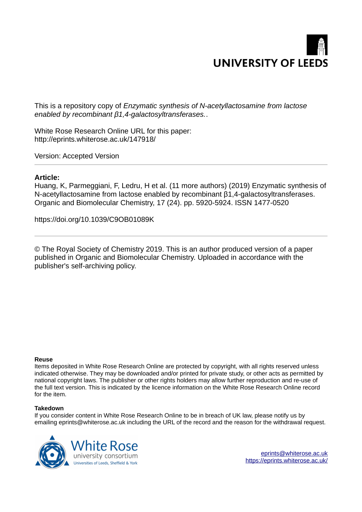

This is a repository copy of *Enzymatic synthesis of N-acetyllactosamine from lactose enabled by recombinant β1,4-galactosyltransferases.*.

White Rose Research Online URL for this paper: http://eprints.whiterose.ac.uk/147918/

Version: Accepted Version

# **Article:**

Huang, K, Parmeggiani, F, Ledru, H et al. (11 more authors) (2019) Enzymatic synthesis of N-acetyllactosamine from lactose enabled by recombinant β1,4-galactosyltransferases. Organic and Biomolecular Chemistry, 17 (24). pp. 5920-5924. ISSN 1477-0520

https://doi.org/10.1039/C9OB01089K

© The Royal Society of Chemistry 2019. This is an author produced version of a paper published in Organic and Biomolecular Chemistry. Uploaded in accordance with the publisher's self-archiving policy.

# **Reuse**

Items deposited in White Rose Research Online are protected by copyright, with all rights reserved unless indicated otherwise. They may be downloaded and/or printed for private study, or other acts as permitted by national copyright laws. The publisher or other rights holders may allow further reproduction and re-use of the full text version. This is indicated by the licence information on the White Rose Research Online record for the item.

# **Takedown**

If you consider content in White Rose Research Online to be in breach of UK law, please notify us by emailing eprints@whiterose.ac.uk including the URL of the record and the reason for the withdrawal request.



[eprints@whiterose.ac.uk](mailto:eprints@whiterose.ac.uk) <https://eprints.whiterose.ac.uk/>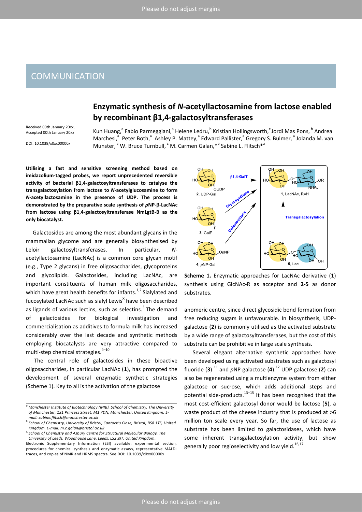# **COMMUNICATION**

# Enzymatic synthesis of N-acetyllactosamine from lactose enabled by recombinant β1,4-galactosyltransferases

Received 00th January 20xx. Accepted 00th January 20xx

Kun Huang,<sup>a</sup> Fabio Parmeggiani,<sup>a</sup> Helene Ledru,<sup>b</sup> Kristian Hollingsworth,<sup>c</sup> Jordi Mas Pons, <sup>b</sup> Andrea Marchesi,<sup>a</sup> Peter Both,<sup>a</sup> Ashley P. Mattey,<sup>a</sup> Edward Pallister,<sup>a</sup> Gregory S. Bulmer,<sup>a</sup> Jolanda M. van Munster,<sup>a</sup> W. Bruce Turnbull, <sup>c</sup> M. Carmen Galan, \*<sup>b</sup> Sabine L. Flitsch<sup>\*a</sup>

DOI: 10.1039/x0xx00000x

Utilising a fast and sensitive screening method based on imidazolium-tagged probes, we report unprecedented reversible activity of bacterial  $\beta$ 1,4-galactosyltransferases to catalyse the transgalactosylation from lactose to N-acetylglucosamine to form N-acetyllactosamine in the presence of UDP. The process is demonstrated by the preparative scale synthesis of pNP-B-LacNAc from lactose using  $\beta$ 1,4-galactosyltransferase NmLgtB-B as the only biocatalyst.

Galactosides are among the most abundant glycans in the mammalian glycome and are generally biosynthesised by galactosyltransferases. Leloir  $\ln$ particular,  $N$ acetyllactosamine (LacNAc) is a common core glycan motif (e.g., Type 2 glycans) in free oligosaccharides, glycoproteins and glycolipids. Galactosides, including LacNAc, are important constituents of human milk oligosaccharides, which have great health benefits for infants.<sup>1,2</sup> Sialylated and fucosylated LacNAc such as sialyl Lewis<sup>x</sup> have been described as ligands of various lectins, such as selectins.<sup>3</sup> The demand investigation of galactosides for biological and commercialisation as additives to formula milk has increased considerably over the last decade and synthetic methods employing biocatalysts are very attractive compared to multi-step chemical strategies.<sup>4-10</sup>

The central role of galactosides in these bioactive oligosaccharides, in particular LacNAc (1), has prompted the development of several enzymatic synthetic strategies (Scheme 1). Key to all is the activation of the galactose



Scheme 1. Enzymatic approaches for LacNAc derivative (1) synthesis using GlcNAc-R as acceptor and 2-5 as donor substrates.

anomeric centre, since direct glycosidic bond formation from free reducing sugars is unfavourable. In biosynthesis, UDPgalactose (2) is commonly utilised as the activated substrate by a wide range of galactosyltransferases, but the cost of this substrate can be prohibitive in large scale synthesis.

Several elegant alternative synthetic approaches have been developed using activated substrates such as galactosyl fluoride (3)  $^{11}$  and pNP-galactose (4). $^{12}$  UDP-galactose (2) can also be regenerated using a multienzyme system from either galactose or sucrose, which adds additional steps and potential side-products.<sup>13-15</sup> It has been recognised that the most cost-efficient galactosyl donor would be lactose (5), a waste product of the cheese industry that is produced at  $>6$ million ton scale every year. So far, the use of lactose as substrate has been limited to galactosidases, which have some inherent transgalactosylation activity, but show generally poor regioselectivity and low yield.<sup>16,17</sup>

<sup>&</sup>lt;sup>a</sup> Manchester Institute of Biotechnology (MIB), School of Chemistry, The University of Manchester, 131 Princess Street, M1 7DN, Manchester, United Kingdom. Email: sabine.flitsch@manchester.ac.uk

<sup>&</sup>lt;sup>b.</sup> School of Chemistry, University of Bristol, Cantock's Close, Bristol, BS8 1TS, United Kingdom. E-mail: m.c.galan@bristol.ac.uk

<sup>&</sup>lt;sup>c.</sup> School of Chemistry and Asbury Centre for Structural Molecular Biology, The University of Leeds, Woodhouse Lane, Leeds, LS2 9JT, United Kingdom.

Electronic Supplementary Information (ESI) available: experimental section, procedures for chemical synthesis and enzymatic assays, representative MALDI traces, and copies of NMR and HRMS spectra. See DOI: 10.1039/x0xx00000x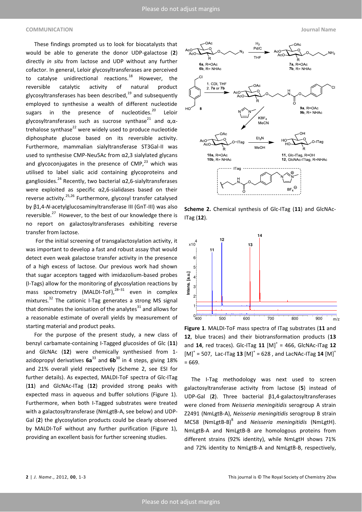### **COMMUNICATION Journal Name**

 These findings prompted us to look for biocatalysts that would be able to generate the donor UDP-galactose (**2**) directly *in situ* from lactose and UDP without any further cofactor. In general, Leloir glycosyltransferases are perceived to catalyse unidirectional reactions.<sup>18</sup> However, the reversible catalytic activity of natural product glycosyltransferases has been described, $^{19}$  and subsequently employed to synthesise a wealth of different nucleotide sugars in the presence of nucleotides. $^{20}$  Leloir glycosyltransferases such as sucrose synthase<sup>21</sup> and  $\alpha$ , $\alpha$ trehalose synthase $^{22}$  were widely used to produce nucleotide diphosphate glucose based on its reversible activity. Furthermore, mammalian sialyltransferase ST3Gal-II was used to synthesise CMP-Neu5Ac from  $\alpha$ 2,3 sialylated glycans and glycoconjugates in the presence of  $CMP<sup>23</sup>$  which was utilised to label sialic acid containing glycoproteins and gangliosides.<sup>24</sup> Recently, two bacterial  $\alpha$ 2,6-sialyltransferases were exploited as specific  $\alpha$ 2,6-sialidases based on their reverse activity.25,26 Furthermore, glycosyl transfer catalysed bγ β1,4-*N*-acetylglucosaminyltransferase III (GnT-III) was also reversible. $27$  However, to the best of our knowledge there is no report on galactosyltransferases exhibiting reverse transfer from lactose.

 For the initial screening of transgalactosylation activity, it was important to develop a fast and robust assay that would detect even weak galactose transfer activity in the presence of a high excess of lactose. Our previous work had shown that sugar acceptors tagged with imidazolium-based probes (I-Tags) allow for the monitoring of glycosylation reactions by mass spectrometry (MALDI-ToF), $^{28-31}$  even in complex mixtures.<sup>32</sup> The cationic I-Tag generates a strong MS signal that dominates the ionisation of the analytes $^{31}$  and allows for a reasonable estimate of overall yields by measurement of starting material and product peaks.

 For the purpose of the present study, a new class of benzyl carbamate-containing I-Tagged glucosides of Glc (**11**) and GlcNAc (**12**) were chemically synthesised from 1 azidopropyl derivatives **6a**<sup>33</sup> and **6b**<sup>30</sup> in 4 steps, giving 18% and 21% overall yield respectively (Scheme 2, see ESI for further details). As expected, MALDI-ToF spectra of Glc-ITag (**11**) and GlcNAc-ITag (**12**) provided strong peaks with expected mass in aqueous and buffer solutions (Figure 1). Furthermore, when both I-Tagged substrates were treated with a galactosyltransferase (NmLgtB-A, see below) and UDP-Gal (**2**) the glycosylation products could be clearly observed by MALDI-ToF without any further purification (Figure 1), providing an excellent basis for further screening studies.



**Scheme 2.** Chemical synthesis of Glc-ITag (**11**) and GlcNAc-ITag (**12**).



**Figure 1**. MALDI-ToF mass spectra of ITag substrates (**11** and **12**, blue traces) and their biotransformation products (**13** and **14**, red traces). Glc-ITag **11** [M]<sup>+</sup> = 466, GlcNAc-ITag **12**  $[M]^{+}$  = 507, Lac-ITag 13  $[M]^{+}$  = 628, and LacNAc-ITag 14  $[M]^{+}$ = 669.

 The I-Tag methodology was next used to screen galactosyltransferase activity from lactose (**5**) instead of UDP-Gal (2). Three bacterial β1,4-galactosyltransferases were cloned from *Neisseria meningitidis* serogroup A strain Z2491 (NmLgtB-A), *Neisseria meningitidis* serogroup B strain MC58 (NmLgtB-B)<sup>8</sup> and *Neisseria meningitidis* (NmLgtH). NmLgtB-A and NmLgtB-B are homologous proteins from different strains (92% identity), while NmLgtH shows 71% and 72% identity to NmLgtB-A and NmLgtB-B, respectively,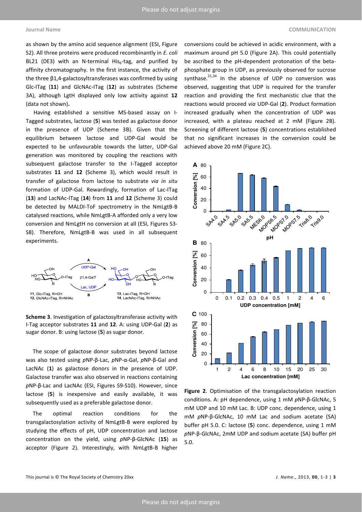as shown by the amino acid sequence alignment (ESI, Figure S2). All three proteins were produced recombinantly in *E. coli* BL21 (DE3) with an N-terminal His $_6$ -tag, and purified by affinity chromatography. In the first instance, the activity of the three  $\beta$ 1,4-galactosyltransferases was confirmed by using Glc-ITag (**11**) and GlcNAc-ITag (**12**) as substrates (Scheme 3A), although LgtH displayed only low activity against **12** (data not shown)**.**

 Having established a sensitive MS-based assay on I-Tagged substrates, lactose (**5**) was tested as galactose donor in the presence of UDP (Scheme 3B). Given that the equilibrium between lactose and UDP-Gal would be expected to be unfavourable towards the latter, UDP-Gal generation was monitored by coupling the reactions with subsequent galactose transfer to the I-Tagged acceptor substrates **11** and **12** (Scheme 3), which would result in transfer of galactose from lactose to substrate *via in situ* formation of UDP-Gal. Rewardingly, formation of Lac-ITag (**13**) and LacNAc-ITag (**14**) from **11** and **12** (Scheme 3) could be detected by MALDI-ToF spectrometry in the NmLgtB-B catalysed reactions, while NmLgtB-A afforded only a very low conversion and NmLgtH no conversion at all (ESI, Figures S3- S8). Therefore, NmLgtB-B was used in all subsequent experiments.



**Scheme 3**. Investigation of galactosyltransferase activity with I-Tag acceptor substrates **11** and **12**. A: using UDP-Gal (**2**) as sugar donor. B: using lactose (**5**) as sugar donor.

 The scope of galactose donor substrates beyond lactose was also tested using *p*NP-β-Lac, *p*NP-α-Gal, *pNP-β-Gal and* LacNAc (**1**) as galactose donors in the presence of UDP. Galactose transfer was also observed in reactions containing pNP-β-Lac and LacNAc (ESI, Figures S9-S10). However, since lactose (**5**) is inexpensive and easily available, it was subsequently used as a preferable galactose donor.

 The optimal reaction conditions for the transgalactosylation activity of NmLgtB-B were explored by studying the effects of pH, UDP concentration and lactose concentration on the yield, using *p*NP-é-GlcNAc (**15**) as acceptor (Figure 2). Interestingly, with NmLgtB-B higher

conversions could be achieved in acidic environment, with a maximum around pH 5.0 (Figure 2A). This could potentially be ascribed to the pH-dependent protonation of the betaphosphate group in UDP, as previously observed for sucrose synthase. $^{21,34}$  In the absence of UDP no conversion was observed, suggesting that UDP is required for the transfer reaction and providing the first mechanistic clue that the reactions would proceed *via* UDP-Gal (**2**). Product formation increased gradually when the concentration of UDP was increased, with a plateau reached at 2 mM (Figure 2B). Screening of different lactose (**5**) concentrations established that no significant increases in the conversion could be achieved above 20 mM (Figure 2C).



**Figure 2**. Optimisation of the transgalactosylation reaction conditions. A: pH dependence, using 1 mM pNP-β-GlcNAc, 5 mM UDP and 10 mM Lac. B: UDP conc. dependence, using 1 mM *p*NP-β-GlcNAc, 10 mM Lac and sodium acetate (SA) buffer pH 5.0. C: lactose (**5**) conc. dependence, using 1 mM *p*NP-é-GlcNAc, 2mM UDP and sodium acetate (SA) buffer pH 5.0.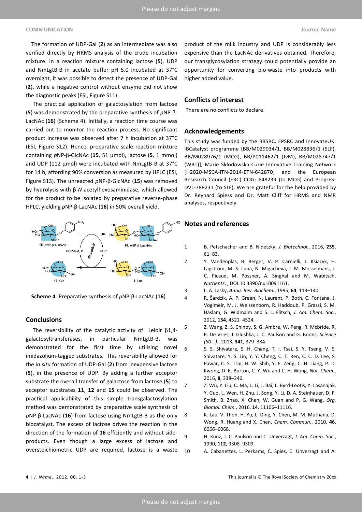## **COMMUNICATION Journal Name**

The formation of UDP-Gal (**2**) as an intermediate was also verified directly by HRMS analysis of the crude incubation mixture. In a reaction mixture containing lactose (**5**), UDP and NmLgtB-B in acetate buffer pH 5.0 incubated at 37°C overnight, it was possible to detect the presence of UDP-Gal (**2**), while a negative control without enzyme did not show the diagnostic peaks (ESI, Figure S11).

 The practical application of galactosylation from lactose (**5**) was demonstrated by the preparative synthesis of *p*NP-é-LacNAc (**16**) (Scheme 4). Initially, a reaction time course was carried out to monitor the reaction process. No significant product increase was observed after 7 h incubation at 37°C (ESI, Figure S12). Hence, preparative scale reaction mixture containing *p*NP-β-GlcNAc (15, 51 μmol), lactose (5, 1 mmol) and UDP (112 µmol) were incubated with NmLgtB-B at 37°C for 14 h, affording 90% conversion as measured by HPLC (ESI, Figure S13). The unreacted *p*NP-é-GlcNAc (**15**) was removed by hydrolysis with β-N-acetylhexosaminidase, which allowed for the product to be isolated by preparative reverse-phase HPLC, yielding *p*NP-β-LacNAc (16) in 50% overall yield.



**Scheme 4**. Preparative synthesis of *p*NP-β-LacNAc (16).

# **Conclusions**

**The reversibility of the catalytic activity of Leloir β1,4**galactosyltransferases, in particular NmLgtB-B, was demonstrated for the first time by utilising novel imidazolium-tagged substrates. This reversibility allowed for the *in situ* formation of UDP-Gal (**2**) from inexpensive lactose (**5**), in the presence of UDP. By adding a further acceptor substrate the overall transfer of galactose from lactose (**5**) to acceptor substrates **11**, **12** and **15** could be observed. The practical applicability of this simple transgalactosylation method was demonstrated by preparative scale synthesis of *p*NP-é-LacNAc (**16**) from lactose using NmLgtB-B as the only biocatalyst. The excess of lactose drives the reaction in the direction of the formation of **16** efficiently and without sideproducts. Even though a large excess of lactose and overstoichiometric UDP are required, lactose is a waste

product of the milk industry and UDP is considerably less expensive than the LacNAc derivatives obtained. Therefore, our transglycosylation strategy could potentially provide an opportunity for converting bio-waste into products with higher added value.

### **Conflicts of interest**

There are no conflicts to declare.

### **Acknowledgements**

This study was funded by the BBSRC, EPSRC and InnovateUK: IBCatalyst programme [BB/M029034/1, BB/M028836/1 (SLF), BB/M028976/1 (MCG), BB/P011462/1 (JvM), BB/M028747/1 (WBT)], Marie Skłodowska-Curie Innovative Training Network [H2020-MSCA-ITN-2014-ETN-642870] and the European Research Council (ERC) COG: 648239 (to MCG) and ProgrES-DVL-788231 (to SLF). We are grateful for the help provided by Dr. Reynard Spiess and Dr. Matt Cliff for HRMS and NMR analyses, respectively.

## **Notes and references**

- 1 B. Petschacher and B. Nidetzky, *J. Biotechnol.*, 2016, **235**,  $61 - 83.$
- 2 Y. Vandenplas, B. Berger, V. P. Carnielli, J. Ksiazyk, H. Lagström, M. S. Luna, N. Migacheva, J. M. Mosselmans, J. C. Picaud, M. Possner, A. Singhal and M. Wabitsch, *Nutrients*, , DOI:10.3390/nu10091161.
- 3 L. A. Lasky, *Annu. Rev. Biochem.*, 1995, 64, 113-140.
- 4 R. Šardzík, A. P. Green, N. Laurent, P. Both, C. Fontana, J. Voglmeir, M. J. Weissenborn, R. Haddoub, P. Grassi, S. M. Haslam, G. Widmalm and S. L. Flitsch, *J. Am. Chem. Soc.*, 2012, 134, 4521-4524.
- 5 Z. Wang, Z. S. Chinoy, S. G. Ambre, W. Peng, R. Mcbride, R. P. De Vries, J. Glushka, J. C. Paulson and G. Boons, *Science (80-. ).*, 2013, 341, 379-384.
- 6 S. S. Shivatare, S. H. Chang, T. I. Tsai, S. Y. Tseng, V. S. Shivatare, Y. S. Lin, Y. Y. Cheng, C. T. Ren, C. C. D. Lee, S. Pawar, C. S. Tsai, H. W. Shih, Y. F. Zeng, C. H. Liang, P. D. Kwong, D. R. Burton, C. Y. Wu and C. H. Wong, *Nat. Chem.*, 2016, **8**, 338-346.
- 7 Z. Wu, Y. Liu, C. Ma, L. Li, J. Bai, L. Byrd-Leotis, Y. Lasanajak, Y. Guo, L. Wen, H. Zhu, J. Song, Y. Li, D. A. Steinhauer, D. F. Smith, B. Zhao, X. Chen, W. Guan and P. G. Wang, *Org. Biomol. Chem.,* 2016, 14, 11106-11116.
- 8 K. Lau, V. Thon, H. Yu, L. Ding, Y. Chen, M. M. Muthana, D. Wong, R. Huang and X. Chen, *Chem. Commun.*, 2010, **46**, 6066-6068.
- 9 H. Kunz, J. C. Paulson and C. Unverzagt, *J. Am. Chem. Soc.*, 1990, 112, 9308-9309.
- 10 A. Cabanettes, L. Perkams, C. Spies, C. Unverzagt and A.